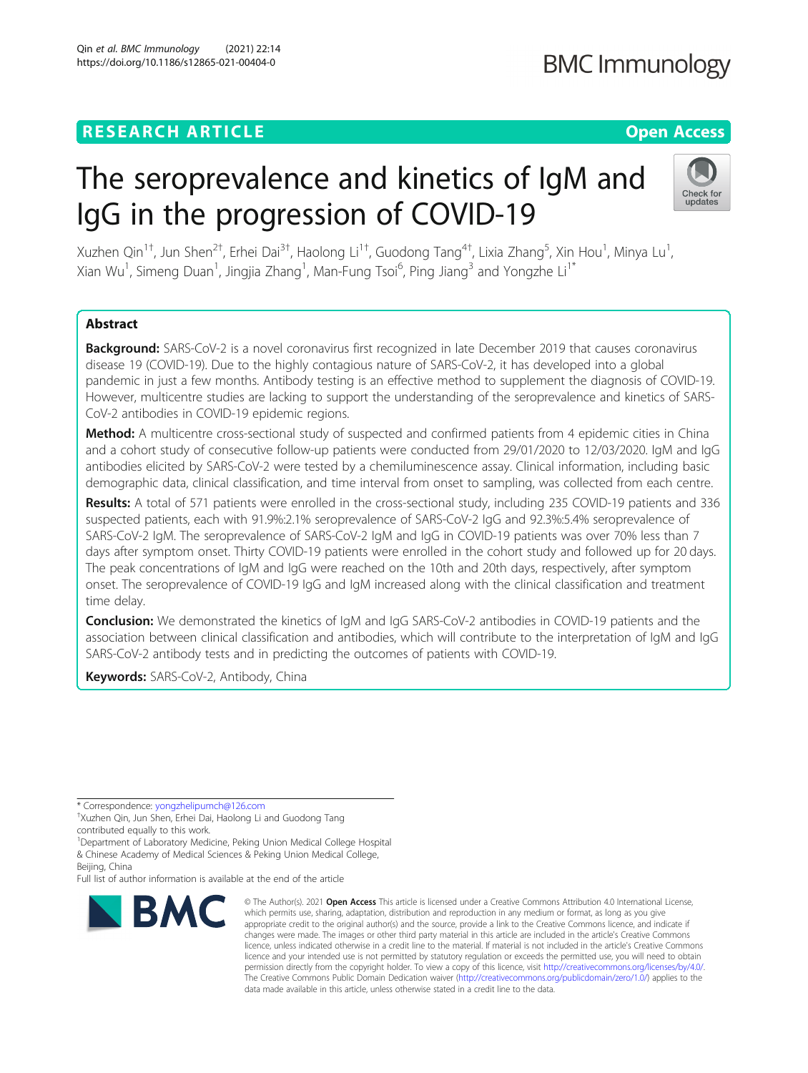## **RESEARCH ARTICLE Example 2014 12:30 The Contract of Contract ACCESS**

# The seroprevalence and kinetics of IgM and IgG in the progression of COVID-19

Xuzhen Qin $^{1+}$ , Jun Shen $^{2+}$ , Erhei Dai $^{3+}$ , Haolong Li $^{1+}$ , Guodong Tang $^{4+}$ , Lixia Zhang $^5$ , Xin Hou $^1$ , Minya Lu $^1$ , Xian Wu<sup>1</sup>, Simeng Duan<sup>1</sup>, Jingjia Zhang<sup>1</sup>, Man-Fung Tsoi<sup>6</sup>, Ping Jiang<sup>3</sup> and Yongzhe Li<sup>1\*</sup>

## Abstract

Background: SARS-CoV-2 is a novel coronavirus first recognized in late December 2019 that causes coronavirus disease 19 (COVID-19). Due to the highly contagious nature of SARS-CoV-2, it has developed into a global pandemic in just a few months. Antibody testing is an effective method to supplement the diagnosis of COVID-19. However, multicentre studies are lacking to support the understanding of the seroprevalence and kinetics of SARS-CoV-2 antibodies in COVID-19 epidemic regions.

Method: A multicentre cross-sectional study of suspected and confirmed patients from 4 epidemic cities in China and a cohort study of consecutive follow-up patients were conducted from 29/01/2020 to 12/03/2020. IgM and IgG antibodies elicited by SARS-CoV-2 were tested by a chemiluminescence assay. Clinical information, including basic demographic data, clinical classification, and time interval from onset to sampling, was collected from each centre.

Results: A total of 571 patients were enrolled in the cross-sectional study, including 235 COVID-19 patients and 336 suspected patients, each with 91.9%:2.1% seroprevalence of SARS-CoV-2 IgG and 92.3%:5.4% seroprevalence of SARS-CoV-2 IgM. The seroprevalence of SARS-CoV-2 IgM and IgG in COVID-19 patients was over 70% less than 7 days after symptom onset. Thirty COVID-19 patients were enrolled in the cohort study and followed up for 20 days. The peak concentrations of IgM and IgG were reached on the 10th and 20th days, respectively, after symptom onset. The seroprevalence of COVID-19 IgG and IgM increased along with the clinical classification and treatment time delay.

**Conclusion:** We demonstrated the kinetics of IgM and IgG SARS-CoV-2 antibodies in COVID-19 patients and the association between clinical classification and antibodies, which will contribute to the interpretation of IgM and IgG SARS-CoV-2 antibody tests and in predicting the outcomes of patients with COVID-19.

Keywords: SARS-CoV-2, Antibody, China

\* Correspondence: [yongzhelipumch@126.com](mailto:yongzhelipumch@126.com) †

<sup>+</sup>Xuzhen Qin, Jun Shen, Erhei Dai, Haolong Li and Guodong Tang contributed equally to this work.

<sup>1</sup>Department of Laboratory Medicine, Peking Union Medical College Hospital & Chinese Academy of Medical Sciences & Peking Union Medical College,

Beijing, China Full list of author information is available at the end of the article

# © The Author(s), 2021 **Open Access** This article is licensed under a Creative Commons Attribution 4.0 International License, **BMC**

which permits use, sharing, adaptation, distribution and reproduction in any medium or format, as long as you give appropriate credit to the original author(s) and the source, provide a link to the Creative Commons licence, and indicate if changes were made. The images or other third party material in this article are included in the article's Creative Commons licence, unless indicated otherwise in a credit line to the material. If material is not included in the article's Creative Commons licence and your intended use is not permitted by statutory regulation or exceeds the permitted use, you will need to obtain permission directly from the copyright holder. To view a copy of this licence, visit [http://creativecommons.org/licenses/by/4.0/.](http://creativecommons.org/licenses/by/4.0/) The Creative Commons Public Domain Dedication waiver [\(http://creativecommons.org/publicdomain/zero/1.0/](http://creativecommons.org/publicdomain/zero/1.0/)) applies to the data made available in this article, unless otherwise stated in a credit line to the data.

**BMC Immunology** 



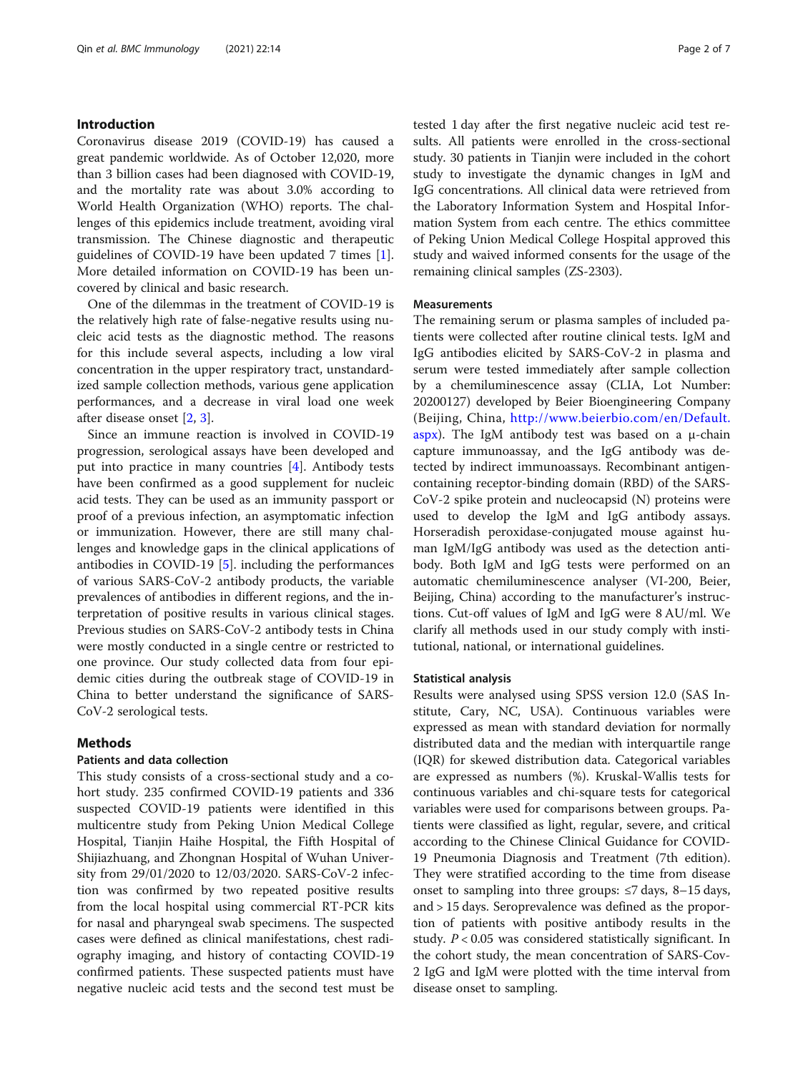## Introduction

Coronavirus disease 2019 (COVID-19) has caused a great pandemic worldwide. As of October 12,020, more than 3 billion cases had been diagnosed with COVID-19, and the mortality rate was about 3.0% according to World Health Organization (WHO) reports. The challenges of this epidemics include treatment, avoiding viral transmission. The Chinese diagnostic and therapeutic guidelines of COVID-19 have been updated 7 times [\[1](#page-6-0)]. More detailed information on COVID-19 has been uncovered by clinical and basic research.

One of the dilemmas in the treatment of COVID-19 is the relatively high rate of false-negative results using nucleic acid tests as the diagnostic method. The reasons for this include several aspects, including a low viral concentration in the upper respiratory tract, unstandardized sample collection methods, various gene application performances, and a decrease in viral load one week after disease onset [[2,](#page-6-0) [3\]](#page-6-0).

Since an immune reaction is involved in COVID-19 progression, serological assays have been developed and put into practice in many countries [[4\]](#page-6-0). Antibody tests have been confirmed as a good supplement for nucleic acid tests. They can be used as an immunity passport or proof of a previous infection, an asymptomatic infection or immunization. However, there are still many challenges and knowledge gaps in the clinical applications of antibodies in COVID-19 [\[5\]](#page-6-0). including the performances of various SARS-CoV-2 antibody products, the variable prevalences of antibodies in different regions, and the interpretation of positive results in various clinical stages. Previous studies on SARS-CoV-2 antibody tests in China were mostly conducted in a single centre or restricted to one province. Our study collected data from four epidemic cities during the outbreak stage of COVID-19 in China to better understand the significance of SARS-CoV-2 serological tests.

## Methods

## Patients and data collection

This study consists of a cross-sectional study and a cohort study. 235 confirmed COVID-19 patients and 336 suspected COVID-19 patients were identified in this multicentre study from Peking Union Medical College Hospital, Tianjin Haihe Hospital, the Fifth Hospital of Shijiazhuang, and Zhongnan Hospital of Wuhan University from 29/01/2020 to 12/03/2020. SARS-CoV-2 infection was confirmed by two repeated positive results from the local hospital using commercial RT-PCR kits for nasal and pharyngeal swab specimens. The suspected cases were defined as clinical manifestations, chest radiography imaging, and history of contacting COVID-19 confirmed patients. These suspected patients must have negative nucleic acid tests and the second test must be tested 1 day after the first negative nucleic acid test results. All patients were enrolled in the cross-sectional study. 30 patients in Tianjin were included in the cohort study to investigate the dynamic changes in IgM and IgG concentrations. All clinical data were retrieved from the Laboratory Information System and Hospital Information System from each centre. The ethics committee of Peking Union Medical College Hospital approved this study and waived informed consents for the usage of the remaining clinical samples (ZS-2303).

## Measurements

The remaining serum or plasma samples of included patients were collected after routine clinical tests. IgM and IgG antibodies elicited by SARS-CoV-2 in plasma and serum were tested immediately after sample collection by a chemiluminescence assay (CLIA, Lot Number: 20200127) developed by Beier Bioengineering Company (Beijing, China, [http://www.beierbio.com/en/Default.](http://www.beierbio.com/en/Default.aspx) [aspx\)](http://www.beierbio.com/en/Default.aspx). The IgM antibody test was based on a μ-chain capture immunoassay, and the IgG antibody was detected by indirect immunoassays. Recombinant antigencontaining receptor-binding domain (RBD) of the SARS-CoV-2 spike protein and nucleocapsid (N) proteins were used to develop the IgM and IgG antibody assays. Horseradish peroxidase-conjugated mouse against human IgM/IgG antibody was used as the detection antibody. Both IgM and IgG tests were performed on an automatic chemiluminescence analyser (VI-200, Beier, Beijing, China) according to the manufacturer's instructions. Cut-off values of IgM and IgG were 8 AU/ml. We clarify all methods used in our study comply with institutional, national, or international guidelines.

### Statistical analysis

Results were analysed using SPSS version 12.0 (SAS Institute, Cary, NC, USA). Continuous variables were expressed as mean with standard deviation for normally distributed data and the median with interquartile range (IQR) for skewed distribution data. Categorical variables are expressed as numbers (%). Kruskal-Wallis tests for continuous variables and chi-square tests for categorical variables were used for comparisons between groups. Patients were classified as light, regular, severe, and critical according to the Chinese Clinical Guidance for COVID-19 Pneumonia Diagnosis and Treatment (7th edition). They were stratified according to the time from disease onset to sampling into three groups:  $\leq$ 7 days, 8–15 days, and > 15 days. Seroprevalence was defined as the proportion of patients with positive antibody results in the study.  $P < 0.05$  was considered statistically significant. In the cohort study, the mean concentration of SARS-Cov-2 IgG and IgM were plotted with the time interval from disease onset to sampling.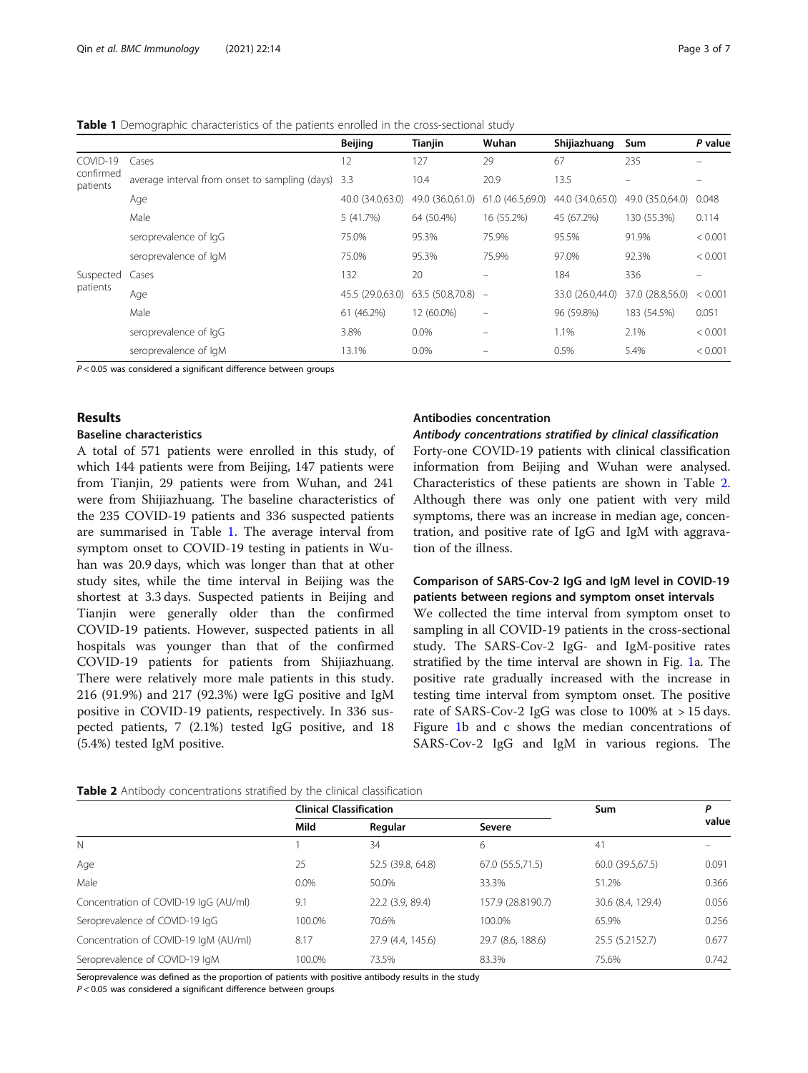<span id="page-2-0"></span>

|  | <b>Table 1</b> Demographic characteristics of the patients enrolled in the cross-sectional study |  |
|--|--------------------------------------------------------------------------------------------------|--|
|--|--------------------------------------------------------------------------------------------------|--|

|                       |                                                    | <b>Beijing</b>   | <b>Tianjin</b>      | Wuhan                    | Shijiazhuang     | Sum              | P value  |
|-----------------------|----------------------------------------------------|------------------|---------------------|--------------------------|------------------|------------------|----------|
| COVID-19              | Cases                                              | 12               | 127                 | 29                       | 67               | 235              |          |
| confirmed<br>patients | average interval from onset to sampling (days) 3.3 |                  | 10.4                | 20.9                     | 13.5             |                  |          |
|                       | Age                                                | 40.0 (34.0,63.0) | 49.0 (36.0,61.0)    | 61.0 (46.5,69.0)         | 44.0 (34.0,65.0) | 49.0 (35.0,64.0) | 0.048    |
|                       | Male                                               | 5 (41.7%)        | 64 (50.4%)          | 16 (55.2%)               | 45 (67.2%)       | 130 (55.3%)      | 0.114    |
|                       | seroprevalence of IgG                              | 75.0%            | 95.3%               | 75.9%                    | 95.5%            | 91.9%            | < 0.001  |
|                       | seroprevalence of IgM                              | 75.0%            | 95.3%               | 75.9%                    | 97.0%            | 92.3%            | < 0.001  |
| Suspected<br>patients | Cases                                              | 132              | 20                  |                          | 184              | 336              | $\equiv$ |
|                       | Age                                                | 45.5 (29.0,63.0) | $63.5(50.8,70.8)$ - |                          | 33.0 (26.0,44.0) | 37.0 (28.8,56.0) | < 0.001  |
|                       | Male                                               | 61 (46.2%)       | 12 (60.0%)          | $\overline{\phantom{m}}$ | 96 (59.8%)       | 183 (54.5%)      | 0.051    |
|                       | seroprevalence of IgG                              | 3.8%             | $0.0\%$             |                          | 1.1%             | 2.1%             | < 0.001  |
|                       | seroprevalence of IgM                              | 13.1%            | $0.0\%$             |                          | 0.5%             | 5.4%             | < 0.001  |

 $P < 0.05$  was considered a significant difference between groups

### Results

## Baseline characteristics

A total of 571 patients were enrolled in this study, of which 144 patients were from Beijing, 147 patients were from Tianjin, 29 patients were from Wuhan, and 241 were from Shijiazhuang. The baseline characteristics of the 235 COVID-19 patients and 336 suspected patients are summarised in Table 1. The average interval from symptom onset to COVID-19 testing in patients in Wuhan was 20.9 days, which was longer than that at other study sites, while the time interval in Beijing was the shortest at 3.3 days. Suspected patients in Beijing and Tianjin were generally older than the confirmed COVID-19 patients. However, suspected patients in all hospitals was younger than that of the confirmed COVID-19 patients for patients from Shijiazhuang. There were relatively more male patients in this study. 216 (91.9%) and 217 (92.3%) were IgG positive and IgM positive in COVID-19 patients, respectively. In 336 suspected patients, 7 (2.1%) tested IgG positive, and 18 (5.4%) tested IgM positive.

#### Antibodies concentration

Antibody concentrations stratified by clinical classification Forty-one COVID-19 patients with clinical classification information from Beijing and Wuhan were analysed. Characteristics of these patients are shown in Table 2. Although there was only one patient with very mild symptoms, there was an increase in median age, concentration, and positive rate of IgG and IgM with aggravation of the illness.

## Comparison of SARS-Cov-2 IgG and IgM level in COVID-19 patients between regions and symptom onset intervals

We collected the time interval from symptom onset to sampling in all COVID-19 patients in the cross-sectional study. The SARS-Cov-2 IgG- and IgM-positive rates stratified by the time interval are shown in Fig. [1a](#page-3-0). The positive rate gradually increased with the increase in testing time interval from symptom onset. The positive rate of SARS-Cov-2 IgG was close to 100% at > 15 days. Figure [1b](#page-3-0) and c shows the median concentrations of SARS-Cov-2 IgG and IgM in various regions. The

|  | Table 2 Antibody concentrations stratified by the clinical classification |  |  |  |  |  |  |
|--|---------------------------------------------------------------------------|--|--|--|--|--|--|
|--|---------------------------------------------------------------------------|--|--|--|--|--|--|

|                                       | <b>Clinical Classification</b> |                   | Sum               | Ρ                 |       |
|---------------------------------------|--------------------------------|-------------------|-------------------|-------------------|-------|
|                                       | Mild                           | Regular           | Severe            |                   | value |
| $\mathbb N$                           |                                | 34                | 6                 | 41                |       |
| Age                                   | 25                             | 52.5 (39.8, 64.8) | 67.0 (55.5,71.5)  | 60.0 (39.5,67.5)  | 0.091 |
| Male                                  | $0.0\%$                        | 50.0%             | 33.3%             | 51.2%             | 0.366 |
| Concentration of COVID-19 IgG (AU/ml) | 9.1                            | 22.2 (3.9, 89.4)  | 157.9 (28.8190.7) | 30.6 (8.4, 129.4) | 0.056 |
| Seroprevalence of COVID-19 IgG        | 100.0%                         | 70.6%             | 100.0%            | 65.9%             | 0.256 |
| Concentration of COVID-19 IgM (AU/ml) | 8.17                           | 27.9 (4.4, 145.6) | 29.7 (8.6, 188.6) | 25.5 (5.2152.7)   | 0.677 |
| Seroprevalence of COVID-19 IgM        | 100.0%                         | 73.5%             | 83.3%             | 75.6%             | 0.742 |

Seroprevalence was defined as the proportion of patients with positive antibody results in the study

 $P < 0.05$  was considered a significant difference between groups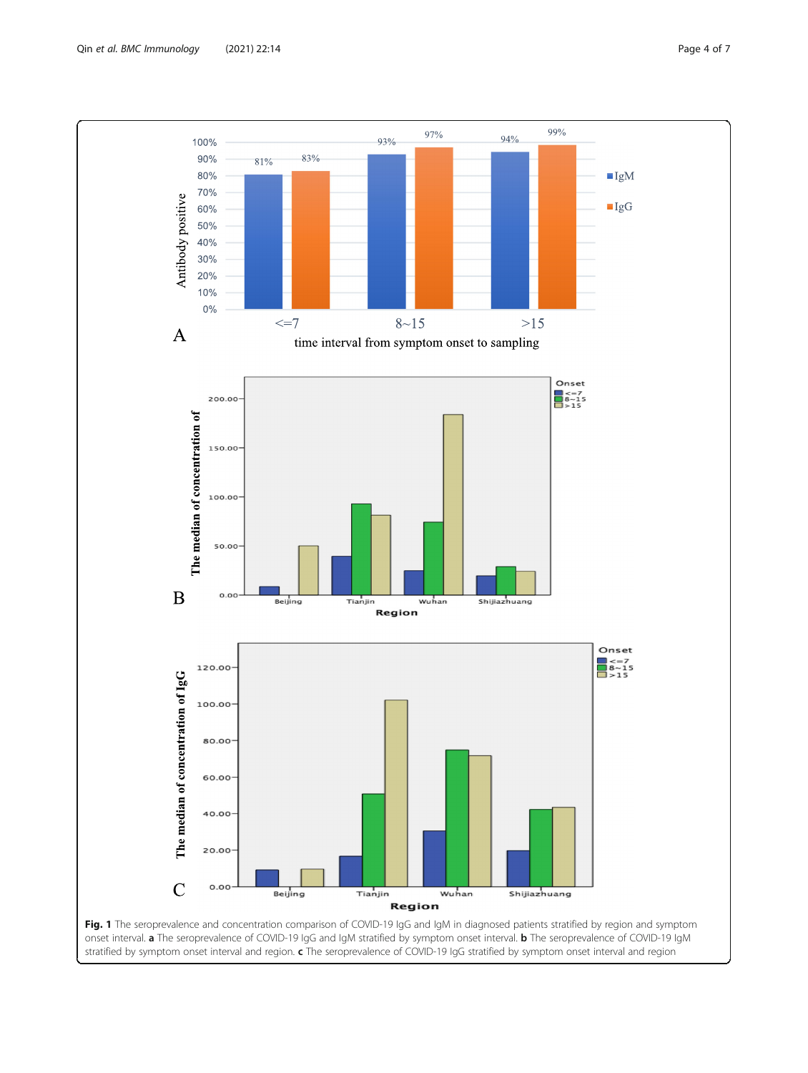<span id="page-3-0"></span>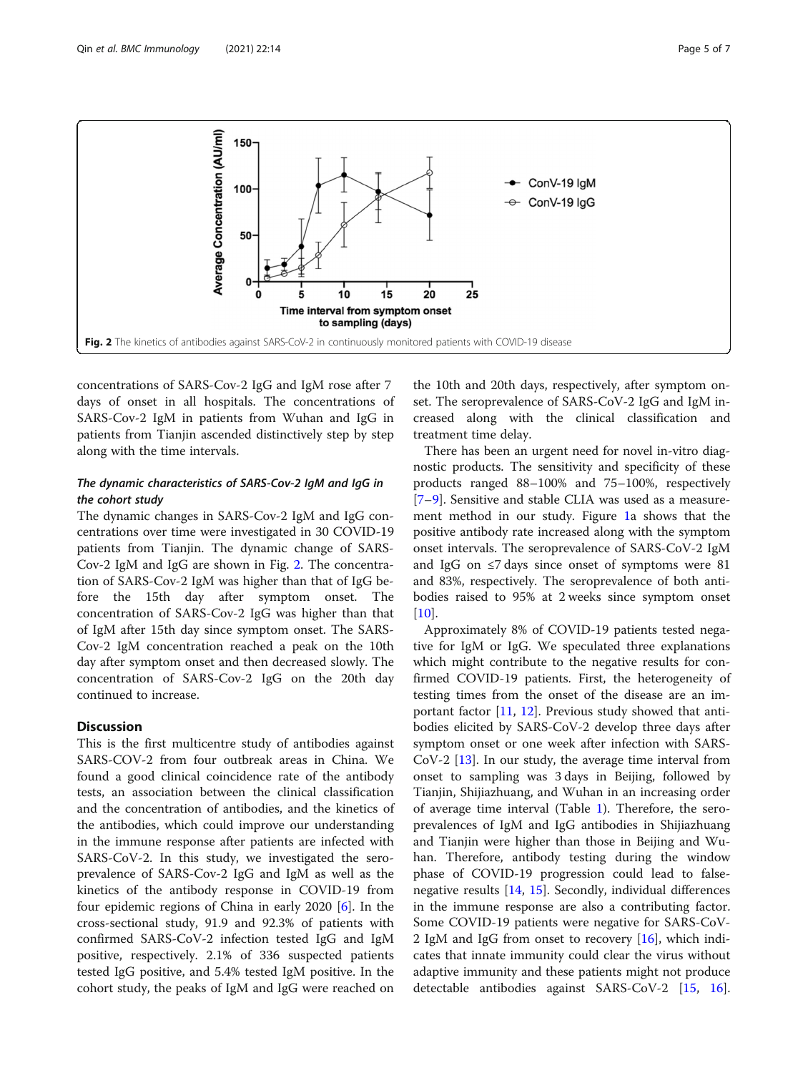<span id="page-4-0"></span>

concentrations of SARS-Cov-2 IgG and IgM rose after 7 days of onset in all hospitals. The concentrations of SARS-Cov-2 IgM in patients from Wuhan and IgG in patients from Tianjin ascended distinctively step by step along with the time intervals.

## The dynamic characteristics of SARS-Cov-2 IgM and IgG in the cohort study

The dynamic changes in SARS-Cov-2 IgM and IgG concentrations over time were investigated in 30 COVID-19 patients from Tianjin. The dynamic change of SARS-Cov-2 IgM and IgG are shown in Fig. 2. The concentration of SARS-Cov-2 IgM was higher than that of IgG before the 15th day after symptom onset. The concentration of SARS-Cov-2 IgG was higher than that of IgM after 15th day since symptom onset. The SARS-Cov-2 IgM concentration reached a peak on the 10th day after symptom onset and then decreased slowly. The concentration of SARS-Cov-2 IgG on the 20th day continued to increase.

## **Discussion**

This is the first multicentre study of antibodies against SARS-COV-2 from four outbreak areas in China. We found a good clinical coincidence rate of the antibody tests, an association between the clinical classification and the concentration of antibodies, and the kinetics of the antibodies, which could improve our understanding in the immune response after patients are infected with SARS-CoV-2. In this study, we investigated the seroprevalence of SARS-Cov-2 IgG and IgM as well as the kinetics of the antibody response in COVID-19 from four epidemic regions of China in early 2020 [[6](#page-6-0)]. In the cross-sectional study, 91.9 and 92.3% of patients with confirmed SARS-CoV-2 infection tested IgG and IgM positive, respectively. 2.1% of 336 suspected patients tested IgG positive, and 5.4% tested IgM positive. In the cohort study, the peaks of IgM and IgG were reached on

the 10th and 20th days, respectively, after symptom onset. The seroprevalence of SARS-CoV-2 IgG and IgM increased along with the clinical classification and treatment time delay.

There has been an urgent need for novel in-vitro diagnostic products. The sensitivity and specificity of these products ranged 88–100% and 75–100%, respectively [[7](#page-6-0)–[9\]](#page-6-0). Sensitive and stable CLIA was used as a measurement method in our study. Figure [1a](#page-3-0) shows that the positive antibody rate increased along with the symptom onset intervals. The seroprevalence of SARS-CoV-2 IgM and IgG on  $\leq$ 7 days since onset of symptoms were 81 and 83%, respectively. The seroprevalence of both antibodies raised to 95% at 2 weeks since symptom onset  $[10]$  $[10]$ .

Approximately 8% of COVID-19 patients tested negative for IgM or IgG. We speculated three explanations which might contribute to the negative results for confirmed COVID-19 patients. First, the heterogeneity of testing times from the onset of the disease are an important factor [[11](#page-6-0), [12\]](#page-6-0). Previous study showed that antibodies elicited by SARS-CoV-2 develop three days after symptom onset or one week after infection with SARS-CoV-2 [\[13\]](#page-6-0). In our study, the average time interval from onset to sampling was 3 days in Beijing, followed by Tianjin, Shijiazhuang, and Wuhan in an increasing order of average time interval (Table [1\)](#page-2-0). Therefore, the seroprevalences of IgM and IgG antibodies in Shijiazhuang and Tianjin were higher than those in Beijing and Wuhan. Therefore, antibody testing during the window phase of COVID-19 progression could lead to falsenegative results [[14,](#page-6-0) [15](#page-6-0)]. Secondly, individual differences in the immune response are also a contributing factor. Some COVID-19 patients were negative for SARS-CoV-2 IgM and IgG from onset to recovery  $[16]$  $[16]$ , which indicates that innate immunity could clear the virus without adaptive immunity and these patients might not produce detectable antibodies against SARS-CoV-2 [[15,](#page-6-0) [16](#page-6-0)].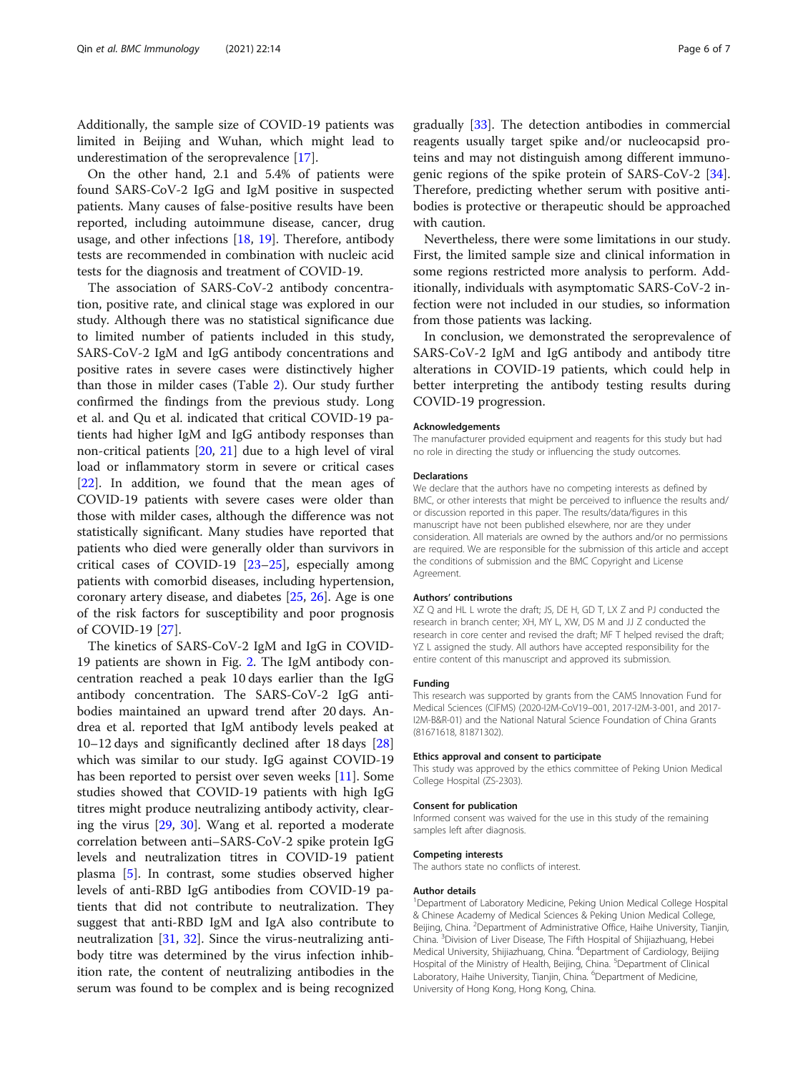Additionally, the sample size of COVID-19 patients was limited in Beijing and Wuhan, which might lead to underestimation of the seroprevalence [[17](#page-6-0)].

On the other hand, 2.1 and 5.4% of patients were found SARS-CoV-2 IgG and IgM positive in suspected patients. Many causes of false-positive results have been reported, including autoimmune disease, cancer, drug usage, and other infections [[18,](#page-6-0) [19](#page-6-0)]. Therefore, antibody tests are recommended in combination with nucleic acid tests for the diagnosis and treatment of COVID-19.

The association of SARS-CoV-2 antibody concentration, positive rate, and clinical stage was explored in our study. Although there was no statistical significance due to limited number of patients included in this study, SARS-CoV-2 IgM and IgG antibody concentrations and positive rates in severe cases were distinctively higher than those in milder cases (Table [2\)](#page-2-0). Our study further confirmed the findings from the previous study. Long et al. and Qu et al. indicated that critical COVID-19 patients had higher IgM and IgG antibody responses than non-critical patients [[20](#page-6-0), [21](#page-6-0)] due to a high level of viral load or inflammatory storm in severe or critical cases [[22\]](#page-6-0). In addition, we found that the mean ages of COVID-19 patients with severe cases were older than those with milder cases, although the difference was not statistically significant. Many studies have reported that patients who died were generally older than survivors in critical cases of COVID-19 [[23](#page-6-0)–[25](#page-6-0)], especially among patients with comorbid diseases, including hypertension, coronary artery disease, and diabetes [[25,](#page-6-0) [26\]](#page-6-0). Age is one of the risk factors for susceptibility and poor prognosis of COVID-19 [[27](#page-6-0)].

The kinetics of SARS-CoV-2 IgM and IgG in COVID-19 patients are shown in Fig. [2.](#page-4-0) The IgM antibody concentration reached a peak 10 days earlier than the IgG antibody concentration. The SARS-CoV-2 IgG antibodies maintained an upward trend after 20 days. Andrea et al. reported that IgM antibody levels peaked at 10–12 days and significantly declined after 18 days [[28](#page-6-0)] which was similar to our study. IgG against COVID-19 has been reported to persist over seven weeks [[11\]](#page-6-0). Some studies showed that COVID-19 patients with high IgG titres might produce neutralizing antibody activity, clearing the virus [\[29,](#page-6-0) [30\]](#page-6-0). Wang et al. reported a moderate correlation between anti–SARS-CoV-2 spike protein IgG levels and neutralization titres in COVID-19 patient plasma [[5](#page-6-0)]. In contrast, some studies observed higher levels of anti-RBD IgG antibodies from COVID-19 patients that did not contribute to neutralization. They suggest that anti-RBD IgM and IgA also contribute to neutralization [[31,](#page-6-0) [32](#page-6-0)]. Since the virus-neutralizing antibody titre was determined by the virus infection inhibition rate, the content of neutralizing antibodies in the serum was found to be complex and is being recognized gradually [[33](#page-6-0)]. The detection antibodies in commercial reagents usually target spike and/or nucleocapsid proteins and may not distinguish among different immuno-genic regions of the spike protein of SARS-CoV-2 [\[34](#page-6-0)]. Therefore, predicting whether serum with positive antibodies is protective or therapeutic should be approached with caution.

Nevertheless, there were some limitations in our study. First, the limited sample size and clinical information in some regions restricted more analysis to perform. Additionally, individuals with asymptomatic SARS-CoV-2 infection were not included in our studies, so information from those patients was lacking.

In conclusion, we demonstrated the seroprevalence of SARS-CoV-2 IgM and IgG antibody and antibody titre alterations in COVID-19 patients, which could help in better interpreting the antibody testing results during COVID-19 progression.

#### Acknowledgements

The manufacturer provided equipment and reagents for this study but had no role in directing the study or influencing the study outcomes.

#### Declarations

We declare that the authors have no competing interests as defined by BMC, or other interests that might be perceived to influence the results and/ or discussion reported in this paper. The results/data/figures in this manuscript have not been published elsewhere, nor are they under consideration. All materials are owned by the authors and/or no permissions are required. We are responsible for the submission of this article and accept the conditions of submission and the BMC Copyright and License Agreement.

#### Authors' contributions

XZ Q and HL L wrote the draft; JS, DE H, GD T, LX Z and PJ conducted the research in branch center; XH, MY L, XW, DS M and JJ Z conducted the research in core center and revised the draft; MF T helped revised the draft; YZ L assigned the study. All authors have accepted responsibility for the entire content of this manuscript and approved its submission.

## Funding

This research was supported by grants from the CAMS Innovation Fund for Medical Sciences (CIFMS) (2020-I2M-CoV19–001, 2017-I2M-3-001, and 2017- I2M-B&R-01) and the National Natural Science Foundation of China Grants (81671618, 81871302).

#### Ethics approval and consent to participate

This study was approved by the ethics committee of Peking Union Medical College Hospital (ZS-2303).

#### Consent for publication

Informed consent was waived for the use in this study of the remaining samples left after diagnosis.

## Competing interests

The authors state no conflicts of interest.

#### Author details

<sup>1</sup>Department of Laboratory Medicine, Peking Union Medical College Hospital & Chinese Academy of Medical Sciences & Peking Union Medical College, Beijing, China. <sup>2</sup>Department of Administrative Office, Haihe University, Tianjin China. <sup>3</sup> Division of Liver Disease, The Fifth Hospital of Shijiazhuang, Hebei Medical University, Shijiazhuang, China. <sup>4</sup>Department of Cardiology, Beijing Hospital of the Ministry of Health, Beijing, China. <sup>5</sup>Department of Clinical Laboratory, Haihe University, Tianjin, China. <sup>6</sup>Department of Medicine University of Hong Kong, Hong Kong, China.